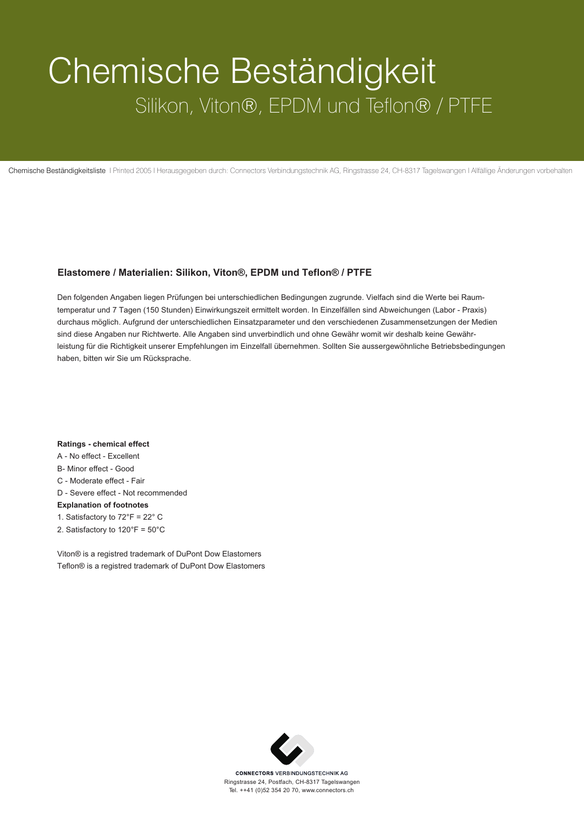## Chemische Beständigkeit Silikon, Viton®, EPDM und Teflon® / PTFE

Chemische Beständigkeitsliste I Printed 2005 I Herausgegeben durch: Connectors Verbindungstechnik AG, Ringstrasse 24, CH-8317 Tagelswangen I Allfällige Änderungen vorbehalten

## **Elastomere / Materialien: Silikon, Viton®, EPDM und Teflon® / PTFE**

Den folgenden Angaben liegen Prüfungen bei unterschiedlichen Bedingungen zugrunde. Vielfach sind die Werte bei Raumtemperatur und 7 Tagen (150 Stunden) Einwirkungszeit ermittelt worden. In Einzelfällen sind Abweichungen (Labor - Praxis) durchaus möglich. Aufgrund der unterschiedlichen Einsatzparameter und den verschiedenen Zusammensetzungen der Medien sind diese Angaben nur Richtwerte. Alle Angaben sind unverbindlich und ohne Gewähr womit wir deshalb keine Gewährleistung für die Richtigkeit unserer Empfehlungen im Einzelfall übernehmen. Sollten Sie aussergewöhnliche Betriebsbedingungen haben, bitten wir Sie um Rücksprache.

**Ratings - chemical effect** A - No effect - Excellent B- Minor effect - Good C - Moderate effect - Fair D - Severe effect - Not recommended **Explanation of footnotes** 1. Satisfactory to 72°F = 22° C 2. Satisfactory to 120°F = 50°C

Viton® is a registred trademark of DuPont Dow Elastomers Teflon® is a registred trademark of DuPont Dow Elastomers



**CONNECTORS VERBINDUNGSTECHNIK AG** Ringstrasse 24, Postfach, CH-8317 Tagelswangen Tel. ++41 (0)52 354 20 70, www.connectors.ch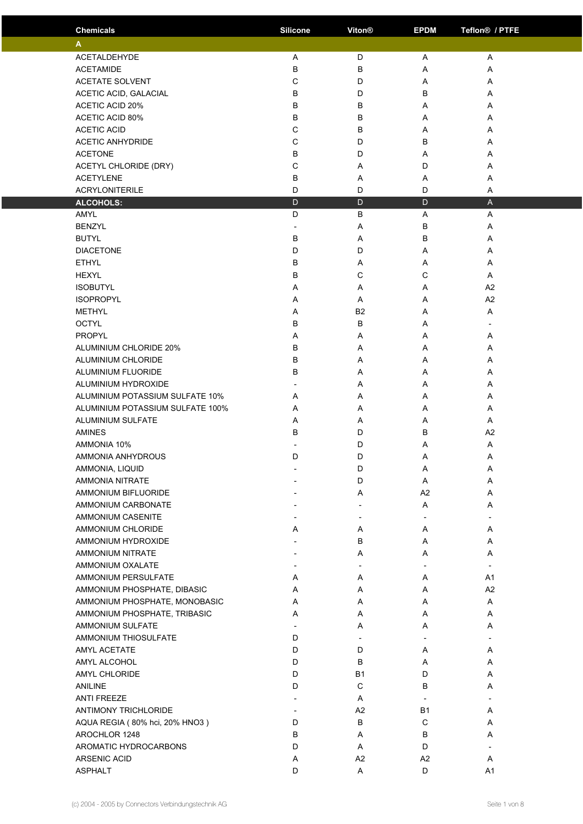| <b>Chemicals</b>                 | <b>Silicone</b>          | Viton®                   | <b>EPDM</b> | Teflon <sup>®</sup> / PTFE |  |
|----------------------------------|--------------------------|--------------------------|-------------|----------------------------|--|
| A                                |                          |                          |             |                            |  |
| <b>ACETALDEHYDE</b>              | Α                        | D                        | A           | Α                          |  |
| <b>ACETAMIDE</b>                 | В                        | B                        | A           | Α                          |  |
| <b>ACETATE SOLVENT</b>           | С                        | D                        | Α           | Α                          |  |
| ACETIC ACID, GALACIAL            | B                        | D                        | B           | Α                          |  |
| <b>ACETIC ACID 20%</b>           | B                        | B                        | A           | A                          |  |
| <b>ACETIC ACID 80%</b>           | В                        | B                        | Α           | Α                          |  |
| <b>ACETIC ACID</b>               | С                        | B                        | A           | Α                          |  |
| <b>ACETIC ANHYDRIDE</b>          | C                        | D                        | B           | Α                          |  |
| <b>ACETONE</b>                   | B                        | D                        |             |                            |  |
|                                  |                          |                          | A           | A                          |  |
| ACETYL CHLORIDE (DRY)            | С                        | Α                        | D           | Α                          |  |
| <b>ACETYLENE</b>                 | В                        | Α                        | Α           | Α                          |  |
| <b>ACRYLONITERILE</b>            | D                        | D                        | D           | A                          |  |
| <b>ALCOHOLS:</b>                 | D                        | $\mathsf{D}$             | D           | $\mathsf{A}$               |  |
| AMYL                             | D                        | B                        | Α           | A                          |  |
| <b>BENZYL</b>                    | $\overline{\phantom{a}}$ | Α                        | B           | Α                          |  |
| <b>BUTYL</b>                     | B                        | A                        | B           | Α                          |  |
| <b>DIACETONE</b>                 | D                        | D                        | A           | A                          |  |
| <b>ETHYL</b>                     | В                        | Α                        | Α           | Α                          |  |
| <b>HEXYL</b>                     | В                        | C                        | C           | Α                          |  |
| <b>ISOBUTYL</b>                  | Α                        | Α                        | Α           | A2                         |  |
| <b>ISOPROPYL</b>                 | Α                        | Α                        | A           | A2                         |  |
| <b>METHYL</b>                    | Α                        | B <sub>2</sub>           | A           | Α                          |  |
| <b>OCTYL</b>                     | B                        | B                        | Α           |                            |  |
| PROPYL                           | Α                        | Α                        | A           | Α                          |  |
| ALUMINIUM CHLORIDE 20%           | B                        | Α                        | A           | Α                          |  |
| ALUMINIUM CHLORIDE               | B                        | Α                        | A           | Α                          |  |
| ALUMINIUM FLUORIDE               | B                        | Α                        | A           | A                          |  |
| ALUMINIUM HYDROXIDE              |                          | Α                        | Α           | Α                          |  |
| ALUMINIUM POTASSIUM SULFATE 10%  | Α                        | Α                        | Α           | Α                          |  |
| ALUMINIUM POTASSIUM SULFATE 100% | A                        | Α                        | A           | A                          |  |
| <b>ALUMINIUM SULFATE</b>         | Α                        | Α                        | Α           | Α                          |  |
| <b>AMINES</b>                    | B                        | D                        | B           | A2                         |  |
| AMMONIA 10%                      |                          | D                        | Α           | Α                          |  |
| AMMONIA ANHYDROUS                | D                        | D                        | Α           | A                          |  |
| AMMONIA, LIQUID                  | $\overline{\phantom{a}}$ | D                        | Α           | Α                          |  |
| AMMONIA NITRATE                  |                          | D                        | Α           | Α                          |  |
| <b>AMMONIUM BIFLUORIDE</b>       |                          | Α                        | A2          | Α                          |  |
| AMMONIUM CARBONATE               |                          | $\overline{\phantom{a}}$ | Α           | Α                          |  |
| AMMONIUM CASENITE                |                          |                          |             |                            |  |
| AMMONIUM CHLORIDE                | Α                        | Α                        | Α           | Α                          |  |
| AMMONIUM HYDROXIDE               |                          | B                        | Α           | A                          |  |
| AMMONIUM NITRATE                 |                          | Α                        | A           | Α                          |  |
| AMMONIUM OXALATE                 |                          |                          |             |                            |  |
| AMMONIUM PERSULFATE              | Α                        | Α                        | Α           | A1                         |  |
| AMMONIUM PHOSPHATE, DIBASIC      | Α                        | Α                        | Α           | A2                         |  |
| AMMONIUM PHOSPHATE, MONOBASIC    | Α                        | A                        | Α           | Α                          |  |
| AMMONIUM PHOSPHATE, TRIBASIC     | Α                        | Α                        | Α           | Α                          |  |
| AMMONIUM SULFATE                 |                          | Α                        | Α           | Α                          |  |
| <b>AMMONIUM THIOSULFATE</b>      | D                        | $\overline{\phantom{a}}$ |             |                            |  |
| AMYL ACETATE                     | D                        | D                        | A           | Α                          |  |
| AMYL ALCOHOL                     | D                        | в                        | Α           | Α                          |  |
| AMYL CHLORIDE                    | D                        | <b>B1</b>                | D           | Α                          |  |
| <b>ANILINE</b>                   | D                        | $\mathsf C$              | B           | Α                          |  |
| <b>ANTI FREEZE</b>               |                          | Α                        |             |                            |  |
| <b>ANTIMONY TRICHLORIDE</b>      |                          | A <sub>2</sub>           | <b>B1</b>   | Α                          |  |
| AQUA REGIA (80% hci, 20% HNO3)   | D                        | В                        | С           |                            |  |
| AROCHLOR 1248                    | B                        | Α                        | В           | Α<br>Α                     |  |
| AROMATIC HYDROCARBONS            | D                        | Α                        | D           |                            |  |
| ARSENIC ACID                     |                          |                          | A2          | Α                          |  |
| <b>ASPHALT</b>                   | Α<br>D                   | A <sub>2</sub><br>Α      | D           | A1                         |  |
|                                  |                          |                          |             |                            |  |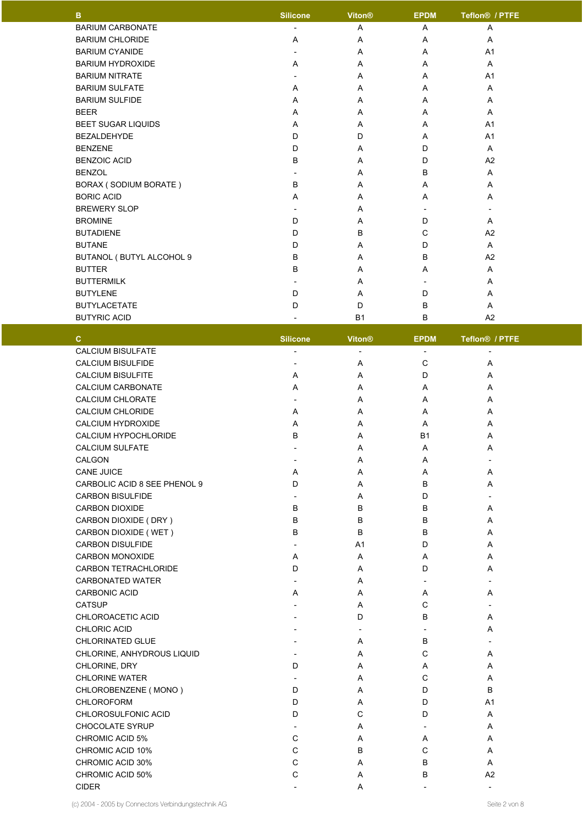| B                         | <b>Silicone</b>          | Viton®    | <b>EPDM</b>              | Teflon <sup>®</sup> / PTFE |  |
|---------------------------|--------------------------|-----------|--------------------------|----------------------------|--|
| <b>BARIUM CARBONATE</b>   |                          | Α         | A                        | Α                          |  |
| <b>BARIUM CHLORIDE</b>    | A                        | Α         | A                        | A                          |  |
| <b>BARIUM CYANIDE</b>     |                          | A         | A                        | A <sub>1</sub>             |  |
| <b>BARIUM HYDROXIDE</b>   | Α                        | Α         | A                        | A                          |  |
| <b>BARIUM NITRATE</b>     |                          | A         | A                        | A <sub>1</sub>             |  |
| <b>BARIUM SULFATE</b>     | A                        | Α         | A                        | A                          |  |
| <b>BARIUM SULFIDE</b>     | A                        | A         | A                        | A                          |  |
| <b>BEER</b>               | Α                        | Α         | A                        | A                          |  |
| <b>BEET SUGAR LIQUIDS</b> | A                        | A         | A                        | A <sub>1</sub>             |  |
| <b>BEZALDEHYDE</b>        | D                        | D         | A                        | A <sub>1</sub>             |  |
| <b>BENZENE</b>            | D                        | Α         | D                        | A                          |  |
| <b>BENZOIC ACID</b>       | B                        | Α         | D                        | A2                         |  |
| <b>BENZOL</b>             | $\overline{\phantom{a}}$ | A         | B                        | A                          |  |
| BORAX (SODIUM BORATE)     | B                        | A         | A                        | A                          |  |
| <b>BORIC ACID</b>         | A                        | A         | A                        | A                          |  |
| <b>BREWERY SLOP</b>       |                          | Α         |                          |                            |  |
| <b>BROMINE</b>            | D                        | A         | D                        | A                          |  |
| <b>BUTADIENE</b>          | D                        | B         | $\mathsf{C}$             | A2                         |  |
| <b>BUTANE</b>             | D                        | A         | D                        | A                          |  |
| BUTANOL (BUTYL ALCOHOL 9  | B                        | A         | B                        | A <sub>2</sub>             |  |
| <b>BUTTER</b>             | B                        | Α         | A                        | A                          |  |
| <b>BUTTERMILK</b>         | $\overline{\phantom{a}}$ | A         | $\overline{\phantom{a}}$ | A                          |  |
| <b>BUTYLENE</b>           | D                        | Α         | D                        | A                          |  |
| <b>BUTYLACETATE</b>       | D                        | D         | B                        | A                          |  |
| <b>BUTYRIC ACID</b>       |                          | <b>B1</b> | B                        | A2                         |  |

| C.                           | <b>Silicone</b>          | <b>Viton®</b>            | <b>EPDM</b>              | Teflon <sup>®</sup> / PTFE |  |
|------------------------------|--------------------------|--------------------------|--------------------------|----------------------------|--|
| <b>CALCIUM BISULFATE</b>     |                          |                          |                          |                            |  |
| CALCIUM BISULFIDE            | $\overline{a}$           | Α                        | $\mathsf C$              | Α                          |  |
| <b>CALCIUM BISULFITE</b>     | Α                        | Α                        | D                        | Α                          |  |
| CALCIUM CARBONATE            | Α                        | Α                        | Α                        | Α                          |  |
| <b>CALCIUM CHLORATE</b>      | $\overline{\phantom{a}}$ | A                        | A                        | A                          |  |
| <b>CALCIUM CHLORIDE</b>      | A                        | A                        | A                        | A                          |  |
| <b>CALCIUM HYDROXIDE</b>     | A                        | A                        | A                        | A                          |  |
| CALCIUM HYPOCHLORIDE         | B                        | A                        | <b>B1</b>                | A                          |  |
| <b>CALCIUM SULFATE</b>       | $\overline{\phantom{a}}$ | A                        | Α                        | A                          |  |
| CALGON                       | $\overline{a}$           | Α                        | Α                        | $\overline{a}$             |  |
| <b>CANE JUICE</b>            | A                        | Α                        | Α                        | Α                          |  |
| CARBOLIC ACID 8 SEE PHENOL 9 | D                        | A                        | B                        | Α                          |  |
| <b>CARBON BISULFIDE</b>      | $\overline{\phantom{a}}$ | A                        | D                        | $\overline{a}$             |  |
| <b>CARBON DIOXIDE</b>        | B                        | B                        | B                        | Α                          |  |
| CARBON DIOXIDE (DRY)         | B                        | В                        | $\sf B$                  | Α                          |  |
| CARBON DIOXIDE (WET)         | B                        | B                        | $\sf B$                  | Α                          |  |
| CARBON DISULFIDE             |                          | A1                       | D                        | A                          |  |
| <b>CARBON MONOXIDE</b>       | A                        | A                        | Α                        | A                          |  |
| <b>CARBON TETRACHLORIDE</b>  | D                        | A                        | D                        | A                          |  |
| <b>CARBONATED WATER</b>      | $\overline{a}$           | A                        | $\overline{a}$           | $\overline{\phantom{a}}$   |  |
| <b>CARBONIC ACID</b>         | A                        | A                        | Α                        | Α                          |  |
| <b>CATSUP</b>                | $\overline{a}$           | Α                        | $\mathsf{C}$             | $\overline{\phantom{a}}$   |  |
| CHLOROACETIC ACID            | $\overline{\phantom{a}}$ | D                        | B                        | Α                          |  |
| CHLORIC ACID                 |                          | $\overline{\phantom{a}}$ | $\overline{a}$           | Α                          |  |
| <b>CHLORINATED GLUE</b>      |                          | Α                        | B                        | $\overline{\phantom{a}}$   |  |
| CHLORINE, ANHYDROUS LIQUID   | $\overline{a}$           | Α                        | $\mathsf{C}$             | Α                          |  |
| CHLORINE, DRY                | D                        | Α                        | Α                        | Α                          |  |
| <b>CHLORINE WATER</b>        | $\overline{\phantom{a}}$ | A                        | $\mathsf C$              | A                          |  |
| CHLOROBENZENE (MONO)         | D                        | A                        | D                        | B                          |  |
| <b>CHLOROFORM</b>            | D                        | A                        | D                        | A <sub>1</sub>             |  |
| CHLOROSULFONIC ACID          | D                        | C                        | D                        | Α                          |  |
| CHOCOLATE SYRUP              | $\overline{\phantom{a}}$ | Α                        | $\overline{\phantom{a}}$ | Α                          |  |
| <b>CHROMIC ACID 5%</b>       | C                        | Α                        | Α                        | Α                          |  |
| <b>CHROMIC ACID 10%</b>      | C                        | B                        | $\mathsf C$              | Α                          |  |
| CHROMIC ACID 30%             | C                        | Α                        | B                        | Α                          |  |
| CHROMIC ACID 50%             | C                        | Α                        | B                        | A <sub>2</sub>             |  |
| <b>CIDER</b>                 | $\overline{\phantom{a}}$ | Α                        | $\overline{a}$           | $\overline{\phantom{a}}$   |  |

(c) 2004 - 2005 by Connectors Verbindungstechnik AG Seite 2 von 8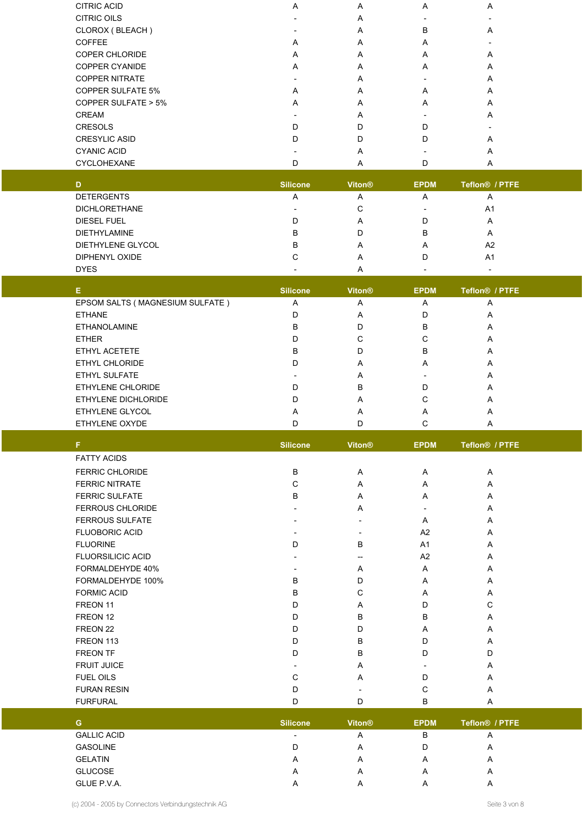| <b>CITRIC ACID</b>       | A | A | A | A |  |
|--------------------------|---|---|---|---|--|
| <b>CITRIC OILS</b>       |   | A |   |   |  |
| CLOROX (BLEACH)          |   | A | B | A |  |
| <b>COFFEE</b>            | A | A | A |   |  |
| <b>COPER CHLORIDE</b>    | A | A | A | A |  |
| <b>COPPER CYANIDE</b>    | A | A | A | A |  |
| <b>COPPER NITRATE</b>    |   | A |   | A |  |
| <b>COPPER SULFATE 5%</b> | A | A | A | A |  |
| COPPER SULFATE > 5%      | A | A | A | A |  |
| <b>CREAM</b>             |   | A |   | A |  |
| <b>CRESOLS</b>           | D | D | D |   |  |
| <b>CRESYLIC ASID</b>     | D | D | D | A |  |
| <b>CYANIC ACID</b>       |   | A |   | A |  |
| CYCLOHEXANE              | D | A |   | A |  |
|                          |   |   |   |   |  |

| D                    | <b>Silicone</b> | <b>Viton<sup>®</sup></b> | <b>EPDM</b> | Teflon <sup>®</sup> / PTFE |
|----------------------|-----------------|--------------------------|-------------|----------------------------|
| <b>DETERGENTS</b>    | A               | A                        | A           | A                          |
| <b>DICHLORETHANE</b> |                 | С                        | -           | A <sub>1</sub>             |
| DIESEL FUEL          |                 | $\overline{A}$           | D           | A                          |
| <b>DIETHYLAMINE</b>  | в               | D                        | В           | A                          |
| DIETHYLENE GLYCOL    | в               | $\overline{\mathsf{A}}$  | A           | A <sub>2</sub>             |
| DIPHENYL OXIDE       |                 | A                        | D           | A1                         |
| <b>DYES</b>          |                 |                          |             |                            |

| Е                               | <b>Silicone</b> | <b>Viton®</b> | <b>EPDM</b> | Teflon <sup>®</sup> / PTFE |  |
|---------------------------------|-----------------|---------------|-------------|----------------------------|--|
| EPSOM SALTS (MAGNESIUM SULFATE) | A               | A             | A           | A                          |  |
| <b>ETHANE</b>                   |                 | A             | D           | A                          |  |
| <b>ETHANOLAMINE</b>             | в               |               | в           | A                          |  |
| <b>ETHER</b>                    |                 | С             | С           | A                          |  |
| ETHYL ACETETE                   | в               |               | B           | A                          |  |
| <b>ETHYL CHLORIDE</b>           | D               | A             | A           | A                          |  |
| <b>ETHYL SULFATE</b>            |                 | A             |             | A                          |  |
| ETHYLENE CHLORIDE               | D               | <sub>B</sub>  | D           | A                          |  |
| ETHYLENE DICHLORIDE             |                 | A             | С           | A                          |  |
| <b>ETHYLENE GLYCOL</b>          | A               | A             | A           | A                          |  |
| ETHYLENE OXYDE                  |                 |               |             | $\mathsf{A}$               |  |

| F.                       | <b>Silicone</b> | <b>Viton®</b>            | <b>EPDM</b>              | Teflon <sup>®</sup> / PTFE |
|--------------------------|-----------------|--------------------------|--------------------------|----------------------------|
| <b>FATTY ACIDS</b>       |                 |                          |                          |                            |
| <b>FERRIC CHLORIDE</b>   | B               | A                        | A                        | Α                          |
| <b>FERRIC NITRATE</b>    | C               | A                        | A                        | A                          |
| <b>FERRIC SULFATE</b>    | B               | A                        | A                        | Α                          |
| <b>FERROUS CHLORIDE</b>  |                 | A                        | $\overline{\phantom{a}}$ | A                          |
| <b>FERROUS SULFATE</b>   |                 | $\overline{\phantom{a}}$ | Α                        | A                          |
| <b>FLUOBORIC ACID</b>    |                 |                          | A2                       | A                          |
| <b>FLUORINE</b>          | D               | B                        | A <sub>1</sub>           | A                          |
| <b>FLUORSILICIC ACID</b> |                 | $\overline{\phantom{a}}$ | A2                       | A                          |
| FORMALDEHYDE 40%         |                 | A                        | A                        | A                          |
| FORMALDEHYDE 100%        | B               | D                        | A                        | A                          |
| <b>FORMIC ACID</b>       | B               | C                        | A                        | A                          |
| FREON 11                 | D               | $\overline{A}$           | D                        | C                          |
| FREON 12                 | D               | B                        | B                        | A                          |
| FREON 22                 | D               | D                        | A                        | A                          |
| FREON 113                | D               | B                        | D                        | A                          |
| <b>FREON TF</b>          | D               | B                        | D                        | D                          |
| <b>FRUIT JUICE</b>       |                 | A                        | $\overline{\phantom{a}}$ | A                          |
| <b>FUEL OILS</b>         | C               | A                        | D                        | A                          |
| <b>FURAN RESIN</b>       | D               |                          | С                        | A                          |

| G                  | <b>Silicone</b>          | <b>Viton®</b> | <b>EPDM</b> | Teflon <sup>®</sup> / PTFE |  |
|--------------------|--------------------------|---------------|-------------|----------------------------|--|
| <b>GALLIC ACID</b> | $\overline{\phantom{0}}$ | A             | B           | r                          |  |
| <b>GASOLINE</b>    | D                        | A             | D           | Α                          |  |
| <b>GELATIN</b>     | A                        | A             | А           | A                          |  |
| <b>GLUCOSE</b>     | A                        | A             | А           | A                          |  |
| GLUE P.V.A.        | A                        | A             |             |                            |  |

FURFURAL D D B A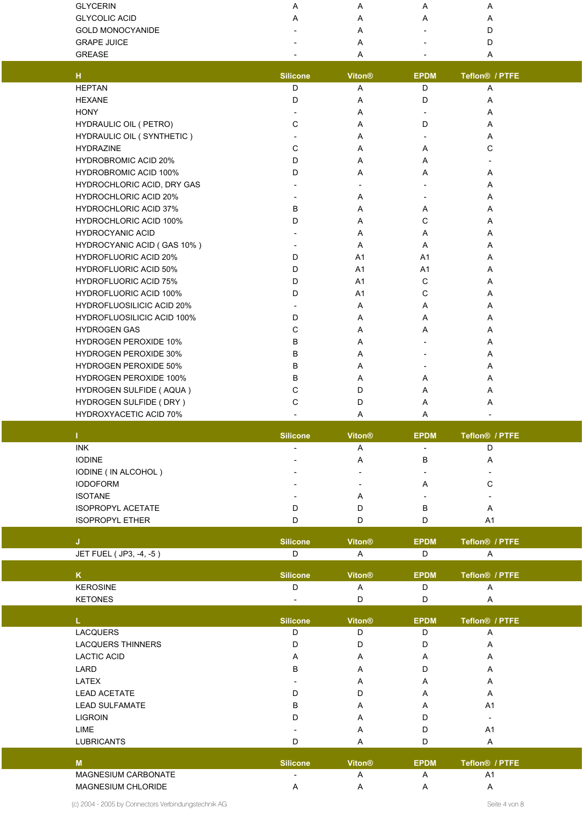| <b>GLYCERIN</b>                   | Α                    | Α                        | Α                        | Α                                            |  |
|-----------------------------------|----------------------|--------------------------|--------------------------|----------------------------------------------|--|
| <b>GLYCOLIC ACID</b>              | Α                    | Α                        | Α                        | Α                                            |  |
| <b>GOLD MONOCYANIDE</b>           |                      | Α                        |                          | D                                            |  |
| <b>GRAPE JUICE</b>                |                      | Α                        |                          | D                                            |  |
| <b>GREASE</b>                     |                      | Α                        |                          | Α                                            |  |
| $\mathsf{H}$                      | <b>Silicone</b>      | Viton®                   | <b>EPDM</b>              | Teflon <sup>®</sup> / PTFE                   |  |
| <b>HEPTAN</b>                     | D                    | A                        | D                        | Α                                            |  |
| <b>HEXANE</b>                     | D                    | Α                        | D                        | Α                                            |  |
| <b>HONY</b>                       |                      | Α                        |                          | Α                                            |  |
| HYDRAULIC OIL ( PETRO)            | C                    | Α                        | D                        | Α                                            |  |
| HYDRAULIC OIL (SYNTHETIC)         |                      | Α                        | $\overline{\phantom{a}}$ | Α                                            |  |
| <b>HYDRAZINE</b>                  | C                    | Α                        | Α                        | С                                            |  |
| <b>HYDROBROMIC ACID 20%</b>       | D                    | Α                        | A                        |                                              |  |
| <b>HYDROBROMIC ACID 100%</b>      | D                    | Α                        | Α                        | Α                                            |  |
| HYDROCHLORIC ACID, DRY GAS        |                      | $\overline{\phantom{a}}$ | $\overline{\phantom{a}}$ | Α                                            |  |
| <b>HYDROCHLORIC ACID 20%</b>      |                      | Α                        | $\overline{\phantom{a}}$ | Α                                            |  |
| <b>HYDROCHLORIC ACID 37%</b>      | B                    | Α                        | Α                        | Α                                            |  |
| HYDROCHLORIC ACID 100%            | D                    | Α                        | C                        | Α                                            |  |
| <b>HYDROCYANIC ACID</b>           |                      | Α                        | Α                        | Α                                            |  |
| HYDROCYANIC ACID (GAS 10%)        |                      | Α                        | Α                        | Α                                            |  |
| <b>HYDROFLUORIC ACID 20%</b>      | D                    | A1                       | A1                       | Α                                            |  |
| <b>HYDROFLUORIC ACID 50%</b>      | D                    | A1                       | A1                       | Α                                            |  |
| <b>HYDROFLUORIC ACID 75%</b>      | D                    | A1                       | C                        | Α                                            |  |
| <b>HYDROFLUORIC ACID 100%</b>     | D                    | A1                       | C                        | Α                                            |  |
| <b>HYDROFLUOSILICIC ACID 20%</b>  |                      | A                        | Α                        | Α                                            |  |
| <b>HYDROFLUOSILICIC ACID 100%</b> | D                    | A                        | Α                        | Α                                            |  |
| <b>HYDROGEN GAS</b>               | С                    | Α                        | Α                        | Α                                            |  |
| <b>HYDROGEN PEROXIDE 10%</b>      | В                    | Α                        |                          | Α                                            |  |
| <b>HYDROGEN PEROXIDE 30%</b>      | B                    | Α                        |                          | Α                                            |  |
| <b>HYDROGEN PEROXIDE 50%</b>      | В                    | Α                        | $\overline{\phantom{a}}$ | Α                                            |  |
| <b>HYDROGEN PEROXIDE 100%</b>     | B                    | Α                        | Α                        | Α                                            |  |
| HYDROGEN SULFIDE ( AQUA )         | C                    | D                        | Α                        | Α                                            |  |
| HYDROGEN SULFIDE (DRY)            | C                    | D                        | Α                        | Α                                            |  |
| <b>HYDROXYACETIC ACID 70%</b>     |                      | Α                        | Α                        |                                              |  |
|                                   |                      | Viton®                   | <b>EPDM</b>              | Teflon <sup>®</sup> / PTFE                   |  |
| Т                                 |                      |                          |                          |                                              |  |
| <b>INK</b>                        | <b>Silicone</b>      | A                        | $\overline{\phantom{a}}$ | D                                            |  |
| <b>IODINE</b>                     |                      | A                        | В                        | Α                                            |  |
| IODINE ( IN ALCOHOL )             |                      |                          |                          |                                              |  |
| <b>IODOFORM</b>                   |                      |                          | Α                        | С                                            |  |
| <b>ISOTANE</b>                    |                      | Α                        |                          |                                              |  |
| <b>ISOPROPYL ACETATE</b>          | D                    | D                        | В                        | Α                                            |  |
| <b>ISOPROPYL ETHER</b>            | D                    | D                        | D                        | A1                                           |  |
|                                   |                      |                          |                          |                                              |  |
| J.                                | <b>Silicone</b><br>D | <b>Viton®</b><br>A       | <b>EPDM</b><br>D         | Teflon <sup>®</sup> / PTFE<br>A              |  |
| JET FUEL (JP3, -4, -5)            |                      |                          |                          |                                              |  |
| $\mathsf{K}$                      | <b>Silicone</b>      | Viton®                   | <b>EPDM</b>              | Teflon <sup>®</sup> / PTFE                   |  |
| <b>KEROSINE</b>                   | D                    | Α                        | D                        | A                                            |  |
| <b>KETONES</b>                    |                      | D                        | D                        | A                                            |  |
| L.                                | <b>Silicone</b>      | Viton <sup>®</sup>       | <b>EPDM</b>              | Teflon <sup>®</sup> / PTFE                   |  |
| <b>LACQUERS</b>                   | D                    | D                        | D                        | Α                                            |  |
| <b>LACQUERS THINNERS</b>          | D                    | D                        | D                        | Α                                            |  |
| <b>LACTIC ACID</b>                | Α                    | Α                        | Α                        | Α                                            |  |
| LARD                              | В                    | Α                        | D                        | Α                                            |  |
| LATEX                             |                      | Α                        | Α                        | A                                            |  |
| <b>LEAD ACETATE</b>               | D                    | D                        | A                        | A                                            |  |
| <b>LEAD SULFAMATE</b>             | в                    | Α                        | Α                        | A <sub>1</sub>                               |  |
| <b>LIGROIN</b>                    | D                    | Α                        | D                        |                                              |  |
| <b>LIME</b>                       |                      | A                        | D                        | A1                                           |  |
| <b>LUBRICANTS</b>                 | D                    | A                        | D                        | Α                                            |  |
| <b>M</b>                          |                      | Viton <sup>®</sup>       | <b>EPDM</b>              |                                              |  |
| MAGNESIUM CARBONATE               | <b>Silicone</b>      | A                        | Α                        | Teflon <sup>®</sup> / PTFE<br>A <sub>1</sub> |  |

(c) 2004 - 2005 by Connectors Verbindungstechnik AG Seite 4 von 8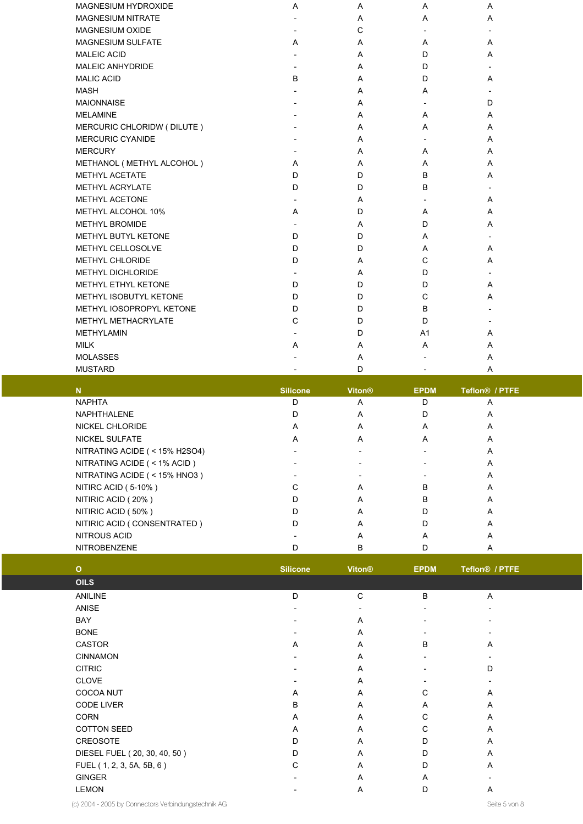| MAGNESIUM HYDROXIDE        | Α                        | Α | Α                        | Α |  |
|----------------------------|--------------------------|---|--------------------------|---|--|
| <b>MAGNESIUM NITRATE</b>   |                          | Α | Α                        | A |  |
| <b>MAGNESIUM OXIDE</b>     |                          | C |                          |   |  |
| <b>MAGNESIUM SULFATE</b>   | A                        | A | Α                        | A |  |
| <b>MALEIC ACID</b>         |                          | A | D                        | A |  |
| <b>MALEIC ANHYDRIDE</b>    |                          | A | D                        |   |  |
| <b>MALIC ACID</b>          | B                        | Α | D                        | Α |  |
| <b>MASH</b>                |                          | Α | A                        |   |  |
| <b>MAIONNAISE</b>          |                          | A |                          | D |  |
| <b>MELAMINE</b>            |                          | A | A                        | A |  |
| MERCURIC CHLORIDW (DILUTE) |                          | A | A                        | A |  |
| <b>MERCURIC CYANIDE</b>    |                          | Α |                          | Α |  |
| <b>MERCURY</b>             | $\overline{\phantom{a}}$ | Α | Α                        | A |  |
| METHANOL (METHYL ALCOHOL)  | A                        | A | A                        | A |  |
| <b>METHYL ACETATE</b>      | D                        | D | B                        | A |  |
| <b>METHYL ACRYLATE</b>     | D                        | D | B                        |   |  |
| METHYL ACETONE             |                          | Α |                          | Α |  |
| METHYL ALCOHOL 10%         | Α                        | D | Α                        | A |  |
| <b>METHYL BROMIDE</b>      |                          | A | D                        | A |  |
| METHYL BUTYL KETONE        | D                        | D | A                        |   |  |
| METHYL CELLOSOLVE          | D                        | D | A                        | A |  |
| <b>METHYL CHLORIDE</b>     | D                        | A | C                        | A |  |
| METHYL DICHLORIDE          |                          | Α | D                        |   |  |
| METHYL ETHYL KETONE        | D                        | D | D                        | A |  |
| METHYL ISOBUTYL KETONE     | D                        | D | C                        | A |  |
| METHYL IOSOPROPYL KETONE   | D                        | D | B                        |   |  |
| METHYL METHACRYLATE        | C                        | D | D                        |   |  |
| <b>METHYLAMIN</b>          |                          | D | A1                       | A |  |
| <b>MILK</b>                | Α                        | Α | Α                        | A |  |
| <b>MOLASSES</b>            |                          | Α |                          | A |  |
| <b>MUSTARD</b>             |                          | D | $\overline{\phantom{0}}$ | A |  |

| N                            | Silicone | <b>Viton®</b> | <b>EPDM</b> | Teflon <sup>®</sup> / PTFE |  |
|------------------------------|----------|---------------|-------------|----------------------------|--|
| <b>NAPHTA</b>                | D        | A             | D           | A                          |  |
| <b>NAPHTHALENE</b>           |          | A             |             | A                          |  |
| <b>NICKEL CHLORIDE</b>       | A        | A             | A           | А                          |  |
| NICKEL SULFATE               | A        | A             | A           | A                          |  |
| NITRATING ACIDE (<15% H2SO4) |          |               |             | A                          |  |
| NITRATING ACIDE (<1% ACID)   |          |               |             | A                          |  |
| NITRATING ACIDE (< 15% HNO3) |          |               |             | A                          |  |
| NITIRC ACID (5-10%)          |          | A             | B           | А                          |  |
| NITIRIC ACID (20%)           | D        | A             | B           | A                          |  |
| NITIRIC ACID (50%)           |          | A             |             | А                          |  |
| NITIRIC ACID (CONSENTRATED)  |          | A             |             | А                          |  |
| NITROUS ACID                 |          | A             | А           | А                          |  |
| <b>NITROBENZENE</b>          |          | B             |             | A                          |  |

| $\circ$                      | <b>Silicone</b> | <b>Viton®</b>            | <b>EPDM</b>                  | Teflon <sup>®</sup> / PTFE |  |
|------------------------------|-----------------|--------------------------|------------------------------|----------------------------|--|
| <b>OILS</b>                  |                 |                          |                              |                            |  |
| <b>ANILINE</b>               | D               | C                        | B                            | A                          |  |
| ANISE                        |                 | $\overline{\phantom{0}}$ | $\overline{\phantom{0}}$     | $\overline{\phantom{a}}$   |  |
| BAY                          |                 | Α                        | $\qquad \qquad \blacksquare$ | $\overline{\phantom{a}}$   |  |
| <b>BONE</b>                  |                 | A                        | $\overline{\phantom{0}}$     | $\overline{\phantom{a}}$   |  |
| <b>CASTOR</b>                | A               | A                        | B                            | Α                          |  |
| <b>CINNAMON</b>              |                 | A                        |                              |                            |  |
| <b>CITRIC</b>                |                 | A                        |                              | D                          |  |
| <b>CLOVE</b>                 |                 | A                        |                              |                            |  |
| <b>COCOA NUT</b>             | A               | A                        | C                            | A                          |  |
| <b>CODE LIVER</b>            | B               | A                        | A                            | Α                          |  |
| <b>CORN</b>                  | Α               | A                        | C                            | Α                          |  |
| <b>COTTON SEED</b>           | Α               | A                        | C                            | A                          |  |
| <b>CREOSOTE</b>              | D               | A                        | D                            | Α                          |  |
| DIESEL FUEL (20, 30, 40, 50) | D               | A                        | D                            | Α                          |  |
| FUEL (1, 2, 3, 5A, 5B, 6)    | C               | A                        | D                            | A                          |  |
| <b>GINGER</b>                |                 | A                        | A                            |                            |  |
| <b>LEMON</b>                 |                 | Α                        | D                            | Α                          |  |

(c) 2004 - 2005 by Connectors Verbindungstechnik AG Seite 5 von 8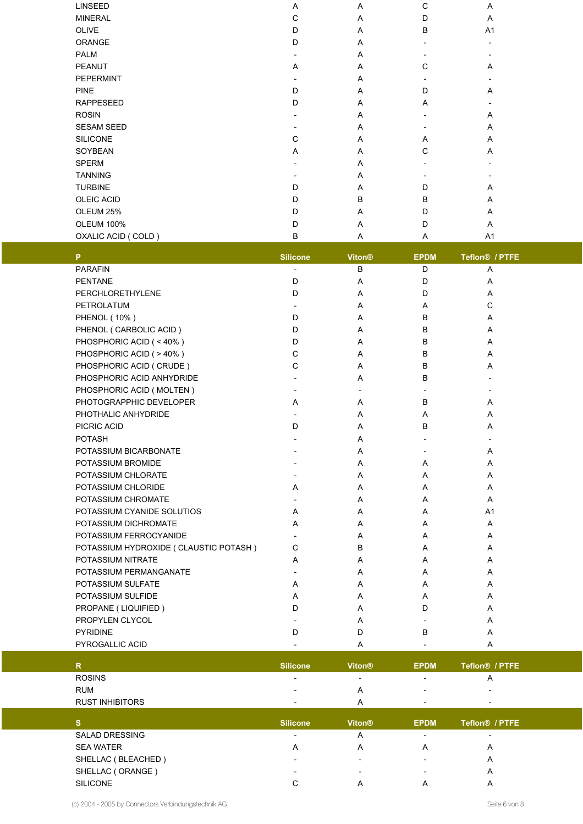| <b>LINSEED</b>       | Α | Α | C            | Α                        |
|----------------------|---|---|--------------|--------------------------|
| <b>MINERAL</b>       | C | A | D            | Α                        |
| <b>OLIVE</b>         | D | Α | B            | A <sub>1</sub>           |
| ORANGE               | D | A |              | $\overline{\phantom{a}}$ |
| <b>PALM</b>          |   | A |              |                          |
| <b>PEANUT</b>        | Α | Α | C            | Α                        |
| PEPERMINT            |   | Α |              | $\overline{\phantom{a}}$ |
| <b>PINE</b>          | D | Α | D            | Α                        |
| <b>RAPPESEED</b>     | D | Α | Α            |                          |
| <b>ROSIN</b>         |   | A |              | Α                        |
| <b>SESAM SEED</b>    |   | A |              | Α                        |
| <b>SILICONE</b>      | C | A | A            | Α                        |
| SOYBEAN              | A | A | $\mathsf{C}$ | Α                        |
| <b>SPERM</b>         |   | Α |              | $\overline{\phantom{a}}$ |
| <b>TANNING</b>       |   | A |              |                          |
| <b>TURBINE</b>       | D | Α | D            | Α                        |
| <b>OLEIC ACID</b>    | D | B | B            | Α                        |
| OLEUM 25%            | D | A | D            | Α                        |
| <b>OLEUM 100%</b>    | D | A | D            | Α                        |
| OXALIC ACID ( COLD ) | B | A | A            | A <sub>1</sub>           |

| P.                                      | <b>Silicone</b>          | Viton <sup>®</sup> | <b>EPDM</b> | Teflon <sup>®</sup> / PTFE |  |
|-----------------------------------------|--------------------------|--------------------|-------------|----------------------------|--|
| <b>PARAFIN</b>                          |                          | B                  | D           | Α                          |  |
| <b>PENTANE</b>                          | D                        | A                  | D           | Α                          |  |
| PERCHLORETHYLENE                        | D                        | A                  | D           | A                          |  |
| PETROLATUM                              |                          | A                  | Α           | C                          |  |
| <b>PHENOL (10%)</b>                     | D                        | A                  | B           | A                          |  |
| PHENOL (CARBOLIC ACID)                  | D                        | A                  | В           | Α                          |  |
| PHOSPHORIC ACID (<40%)                  | D                        | A                  | B           | A                          |  |
| PHOSPHORIC ACID (>40%)                  | C                        | A                  | B           | A                          |  |
| PHOSPHORIC ACID (CRUDE)                 | C                        | A                  | B           | A                          |  |
| PHOSPHORIC ACID ANHYDRIDE               |                          | A                  | B           |                            |  |
| PHOSPHORIC ACID (MOLTEN)                | $\overline{\phantom{a}}$ |                    |             |                            |  |
| PHOTOGRAPPHIC DEVELOPER                 | A                        | A                  | B           | A                          |  |
| PHOTHALIC ANHYDRIDE                     |                          | A                  | Α           | A                          |  |
| PICRIC ACID                             | D                        | A                  | B           | A                          |  |
| <b>POTASH</b>                           |                          | Α                  |             |                            |  |
| POTASSIUM BICARBONATE                   |                          | Α                  |             | A                          |  |
| POTASSIUM BROMIDE                       |                          | A                  | Α           | Α                          |  |
| POTASSIUM CHLORATE                      |                          | A                  | Α           | A                          |  |
| POTASSIUM CHLORIDE                      | A                        | A                  | Α           | A                          |  |
| POTASSIUM CHROMATE                      |                          | A                  | A           | A                          |  |
| POTASSIUM CYANIDE SOLUTIOS              | A                        | Α                  | A           | A <sub>1</sub>             |  |
| POTASSIUM DICHROMATE                    | A                        | Α                  | Α           | A                          |  |
| POTASSIUM FERROCYANIDE                  |                          | A                  | A           | A                          |  |
| POTASSIUM HYDROXIDE ( CLAUSTIC POTASH ) | $\mathsf{C}$             | B                  | Α           | Α                          |  |
| POTASSIUM NITRATE                       | A                        | A                  | A           | A                          |  |
| POTASSIUM PERMANGANATE                  | $\overline{\phantom{a}}$ | A                  | Α           | A                          |  |
| POTASSIUM SULFATE                       | A                        | A                  | Α           | A                          |  |
| POTASSIUM SULFIDE                       | A                        | A                  | A           | A                          |  |
| PROPANE (LIQUIFIED)                     | D                        | A                  | D           | A                          |  |
| PROPYLEN CLYCOL                         |                          | Α                  |             | A                          |  |
| <b>PYRIDINE</b>                         | D                        | D                  | B           | A                          |  |
| PYROGALLIC ACID                         |                          | Α                  |             | Α                          |  |

|                        | <b>Silicone</b>          | <b>Viton®</b>            | <b>EPDM</b>              | Teflon <sup>®</sup> / PTFE |  |
|------------------------|--------------------------|--------------------------|--------------------------|----------------------------|--|
| <b>ROSINS</b>          | $\overline{\phantom{a}}$ | $\overline{\phantom{0}}$ | $\overline{\phantom{0}}$ | А                          |  |
| <b>RUM</b>             | $\overline{\phantom{0}}$ |                          | $\overline{\phantom{0}}$ | $\overline{\phantom{0}}$   |  |
| <b>RUST INHIBITORS</b> |                          |                          | $\overline{\phantom{0}}$ | $\overline{\phantom{a}}$   |  |

|                       | <b>Silicone</b>          | <b>Viton®</b>            | <b>EPDM</b>              | Teflon <sup>®</sup> / PTFE |
|-----------------------|--------------------------|--------------------------|--------------------------|----------------------------|
| <b>SALAD DRESSING</b> | $\overline{\phantom{a}}$ |                          | -                        | $\overline{\phantom{a}}$   |
| <b>SEA WATER</b>      | A                        |                          | Α                        | Α                          |
| SHELLAC (BLEACHED)    | -                        | $\overline{\phantom{0}}$ | $\overline{\phantom{0}}$ | A                          |
| SHELLAC (ORANGE)      | $\overline{\phantom{0}}$ | $\overline{\phantom{0}}$ | $\overline{\phantom{0}}$ | Α                          |
| <b>SILICONE</b>       |                          |                          |                          |                            |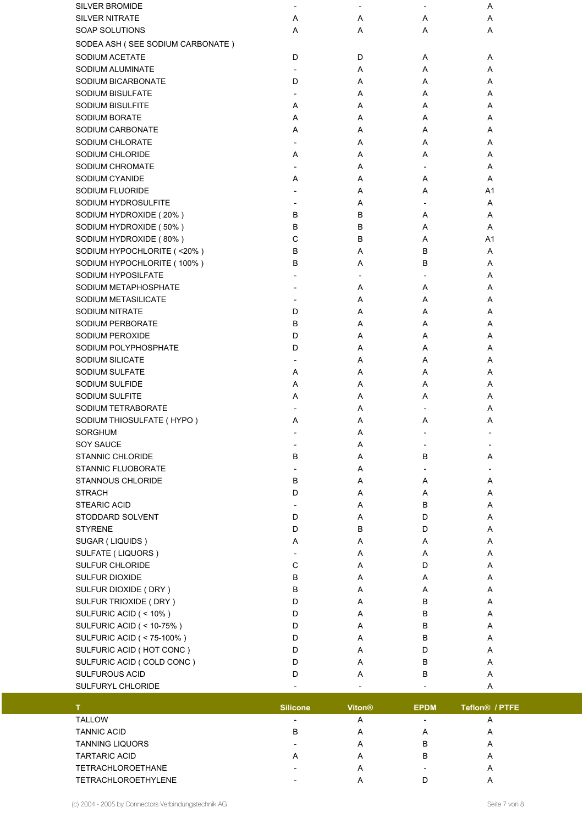| <b>SILVER BROMIDE</b>               | $\overline{\phantom{a}}$ |                          |                          | Α  |  |
|-------------------------------------|--------------------------|--------------------------|--------------------------|----|--|
| <b>SILVER NITRATE</b>               | Α                        | Α                        | Α                        | Α  |  |
| SOAP SOLUTIONS                      | Α                        | Α                        | Α                        | Α  |  |
| SODEA ASH (SEE SODIUM CARBONATE)    |                          |                          |                          |    |  |
| SODIUM ACETATE                      | D                        | D                        | A                        | Α  |  |
| SODIUM ALUMINATE                    | $\overline{\phantom{a}}$ | Α                        | Α                        | Α  |  |
| SODIUM BICARBONATE                  | D                        | Α                        | Α                        | Α  |  |
| <b>SODIUM BISULFATE</b>             | $\overline{\phantom{a}}$ | Α                        | Α                        | Α  |  |
| <b>SODIUM BISULFITE</b>             | Α                        | Α                        | Α                        | Α  |  |
| <b>SODIUM BORATE</b>                | Α                        | Α                        | Α                        | Α  |  |
| SODIUM CARBONATE                    | Α                        | Α                        | Α                        | Α  |  |
| SODIUM CHLORATE                     | $\overline{\phantom{a}}$ | Α                        | Α                        | Α  |  |
| SODIUM CHLORIDE                     | Α                        | Α                        | Α                        | Α  |  |
| SODIUM CHROMATE                     |                          | Α                        |                          | Α  |  |
| SODIUM CYANIDE                      | Α                        | Α                        | Α                        | Α  |  |
| SODIUM FLUORIDE                     |                          | Α                        | Α                        | A1 |  |
| SODIUM HYDROSULFITE                 |                          | Α                        |                          | Α  |  |
| SODIUM HYDROXIDE (20%)              | B                        | в                        | A                        | Α  |  |
| SODIUM HYDROXIDE (50%)              | B                        | B                        | A                        | A  |  |
| SODIUM HYDROXIDE (80%)              | C                        | в                        | Α                        | A1 |  |
| SODIUM HYPOCHLORITE (<20%)          | В                        | Α                        | B                        | Α  |  |
| SODIUM HYPOCHLORITE (100%)          | В                        | Α                        | B                        | Α  |  |
| SODIUM HYPOSILFATE                  |                          | $\overline{\phantom{a}}$ |                          | Α  |  |
| SODIUM METAPHOSPHATE                |                          | Α                        | Α                        | Α  |  |
| SODIUM METASILICATE                 | $\overline{\phantom{a}}$ | Α                        | Α                        | A  |  |
| <b>SODIUM NITRATE</b>               | D                        | Α                        | Α                        | A  |  |
| SODIUM PERBORATE                    | B                        | Α                        | Α                        | Α  |  |
| SODIUM PEROXIDE                     | D                        | Α                        | Α                        | Α  |  |
| SODIUM POLYPHOSPHATE                | D                        | Α                        | Α                        | Α  |  |
| SODIUM SILICATE                     | $\overline{\phantom{a}}$ | Α                        | Α                        | Α  |  |
| SODIUM SULFATE                      | Α                        | Α                        | Α                        | Α  |  |
| SODIUM SULFIDE                      | Α                        | Α                        | Α                        | Α  |  |
| SODIUM SULFITE                      | Α                        | Α                        | Α                        | A  |  |
| SODIUM TETRABORATE                  |                          | Α                        |                          | Α  |  |
| SODIUM THIOSULFATE (HYPO)           | Α                        | Α                        | Α                        | Α  |  |
| SORGHUM                             |                          | Α                        | $\overline{\phantom{0}}$ |    |  |
| <b>SOY SAUCE</b>                    |                          |                          |                          |    |  |
| <b>STANNIC CHLORIDE</b>             | В                        | Α<br>Α                   | В                        |    |  |
| <b>STANNIC FLUOBORATE</b>           |                          | Α                        |                          | A  |  |
| <b>STANNOUS CHLORIDE</b>            | В                        | Α                        | Α                        | Α  |  |
| <b>STRACH</b>                       | D                        | Α                        | Α                        | Α  |  |
| <b>STEARIC ACID</b>                 | $\overline{\phantom{a}}$ | Α                        | В                        | Α  |  |
| STODDARD SOLVENT                    | D                        | Α                        | D                        | Α  |  |
| <b>STYRENE</b>                      | D                        | B                        | D                        | Α  |  |
| SUGAR (LIQUIDS)                     | Α                        | Α                        | Α                        | Α  |  |
| SULFATE (LIQUORS)                   |                          | Α                        | Α                        | Α  |  |
| <b>SULFUR CHLORIDE</b>              | $\mathsf C$              | Α                        | D                        | Α  |  |
| SULFUR DIOXIDE                      | В                        | Α                        |                          | Α  |  |
|                                     | В                        | Α                        | Α<br>Α                   | Α  |  |
| SULFUR DIOXIDE (DRY)                | D                        | Α                        | В                        | A  |  |
| SULFUR TRIOXIDE (DRY)               |                          |                          |                          |    |  |
| SULFURIC ACID (<10%)                | D<br>D                   | Α                        | В<br>B                   | Α  |  |
| <b>SULFURIC ACID ( &lt; 10-75%)</b> |                          | Α                        |                          | Α  |  |
| SULFURIC ACID ( < 75-100% )         | D                        | Α                        | В                        | Α  |  |
| SULFURIC ACID (HOT CONC)            | D                        | Α                        | D                        | Α  |  |
| SULFURIC ACID ( COLD CONC )         | D                        | Α                        | В                        | Α  |  |
| SULFUROUS ACID                      | D                        | Α                        | В                        | Α  |  |
| SULFURYL CHLORIDE                   |                          |                          |                          | Α  |  |

|                            | <b>Silicone</b> | <b>Viton<sup>®</sup></b> | <b>EPDM</b>              | Teflon <sup>®</sup> / PTFE |  |
|----------------------------|-----------------|--------------------------|--------------------------|----------------------------|--|
| <b>TALLOW</b>              |                 | A                        | $\overline{\phantom{0}}$ | A                          |  |
| <b>TANNIC ACID</b>         | в               | A                        |                          | A                          |  |
| <b>TANNING LIQUORS</b>     |                 | A                        | B                        | А                          |  |
| <b>TARTARIC ACID</b>       | A               | A                        | В                        | A                          |  |
| <b>TETRACHLOROETHANE</b>   |                 | $\overline{A}$           |                          | А                          |  |
| <b>TETRACHLOROETHYLENE</b> | -               | Ħ                        |                          |                            |  |